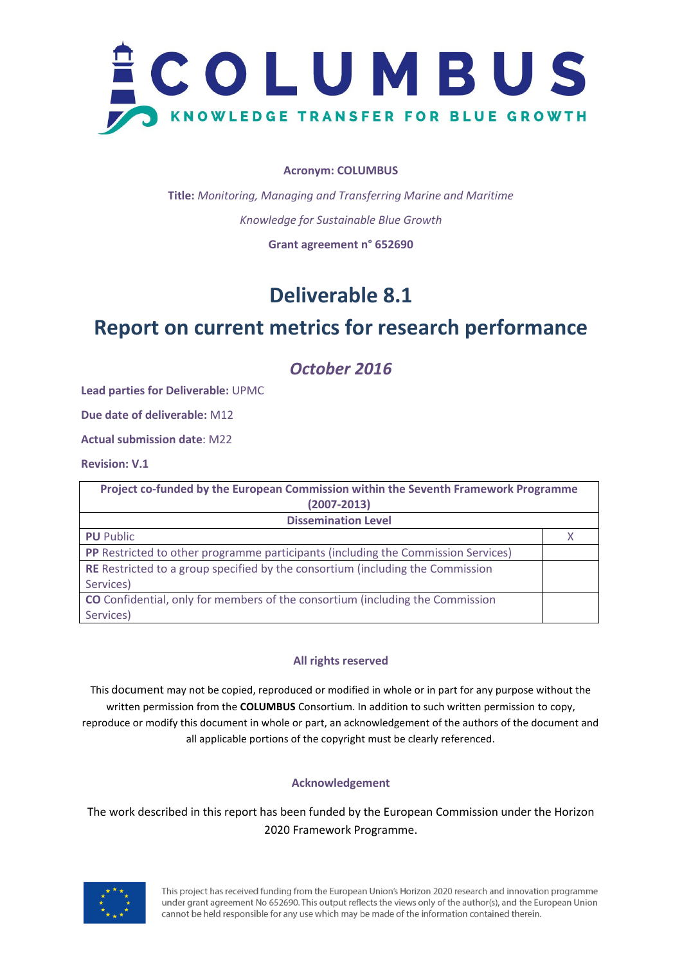

#### **Acronym: COLUMBUS**

**Title:** *Monitoring, Managing and Transferring Marine and Maritime Knowledge for Sustainable Blue Growth* **Grant agreement n° 652690**

## **Deliverable 8.1**

## **Report on current metrics for research performance**

*October 2016*

**Lead parties for Deliverable:** UPMC

**Due date of deliverable:** M12

**Actual submission date**: M22

**Revision: V.1**

| Project co-funded by the European Commission within the Seventh Framework Programme   |  |  |  |  |
|---------------------------------------------------------------------------------------|--|--|--|--|
| $(2007 - 2013)$                                                                       |  |  |  |  |
| <b>Dissemination Level</b>                                                            |  |  |  |  |
| <b>PU</b> Public                                                                      |  |  |  |  |
| PP Restricted to other programme participants (including the Commission Services)     |  |  |  |  |
| <b>RE</b> Restricted to a group specified by the consortium (including the Commission |  |  |  |  |
| Services)                                                                             |  |  |  |  |
| <b>CO</b> Confidential, only for members of the consortium (including the Commission  |  |  |  |  |
| Services)                                                                             |  |  |  |  |

## **All rights reserved**

This document may not be copied, reproduced or modified in whole or in part for any purpose without the written permission from the **COLUMBUS** Consortium. In addition to such written permission to copy, reproduce or modify this document in whole or part, an acknowledgement of the authors of the document and all applicable portions of the copyright must be clearly referenced.

## **Acknowledgement**

The work described in this report has been funded by the European Commission under the Horizon 2020 Framework Programme.

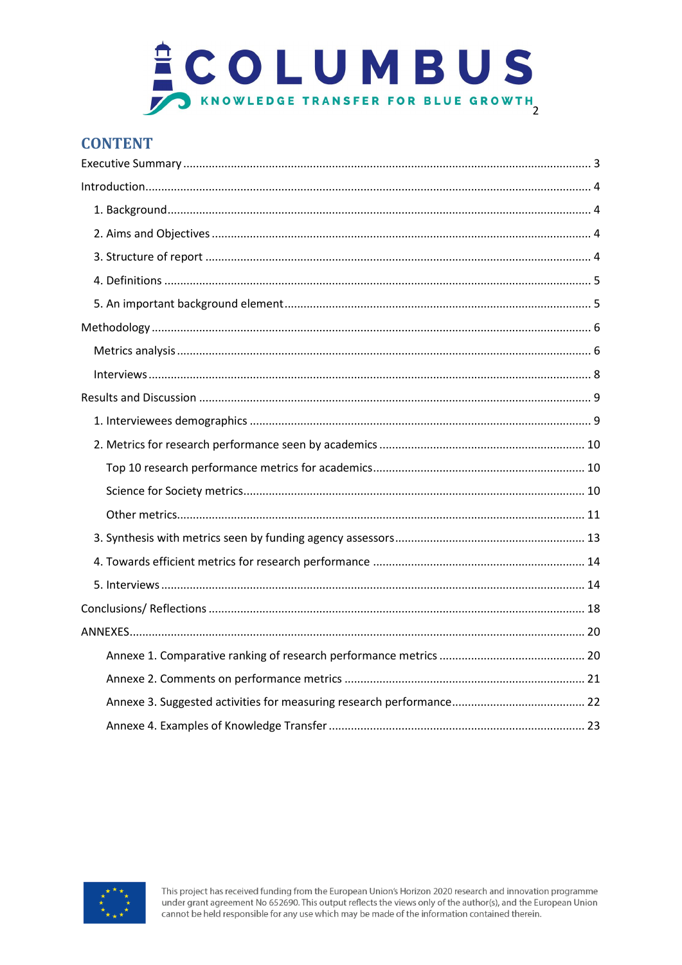

## **CONTENT**

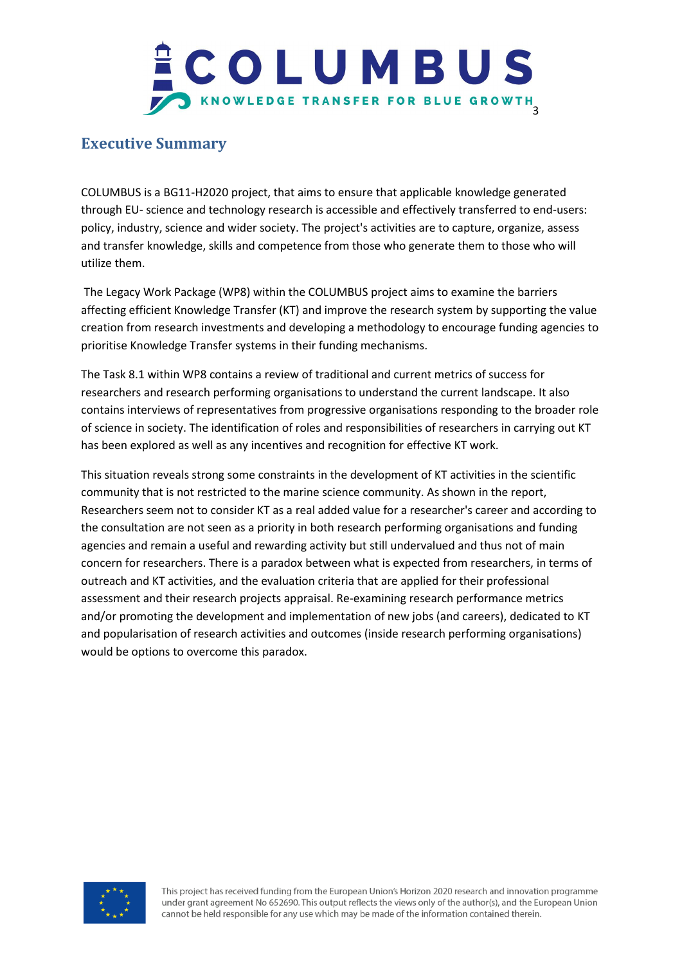## COLUMBUS KNOWLEDGE TRANSFER FOR BLUE GROWTH

## **Executive Summary**

COLUMBUS is a BG11-H2020 project, that aims to ensure that applicable knowledge generated through EU- science and technology research is accessible and effectively transferred to end-users: policy, industry, science and wider society. The project's activities are to capture, organize, assess and transfer knowledge, skills and competence from those who generate them to those who will utilize them.

The Legacy Work Package (WP8) within the COLUMBUS project aims to examine the barriers affecting efficient Knowledge Transfer (KT) and improve the research system by supporting the value creation from research investments and developing a methodology to encourage funding agencies to prioritise Knowledge Transfer systems in their funding mechanisms.

The Task 8.1 within WP8 contains a review of traditional and current metrics of success for researchers and research performing organisations to understand the current landscape. It also contains interviews of representatives from progressive organisations responding to the broader role of science in society. The identification of roles and responsibilities of researchers in carrying out KT has been explored as well as any incentives and recognition for effective KT work.

This situation reveals strong some constraints in the development of KT activities in the scientific community that is not restricted to the marine science community. As shown in the report, Researchers seem not to consider KT as a real added value for a researcher's career and according to the consultation are not seen as a priority in both research performing organisations and funding agencies and remain a useful and rewarding activity but still undervalued and thus not of main concern for researchers. There is a paradox between what is expected from researchers, in terms of outreach and KT activities, and the evaluation criteria that are applied for their professional assessment and their research projects appraisal. Re-examining research performance metrics and/or promoting the development and implementation of new jobs (and careers), dedicated to KT and popularisation of research activities and outcomes (inside research performing organisations) would be options to overcome this paradox.

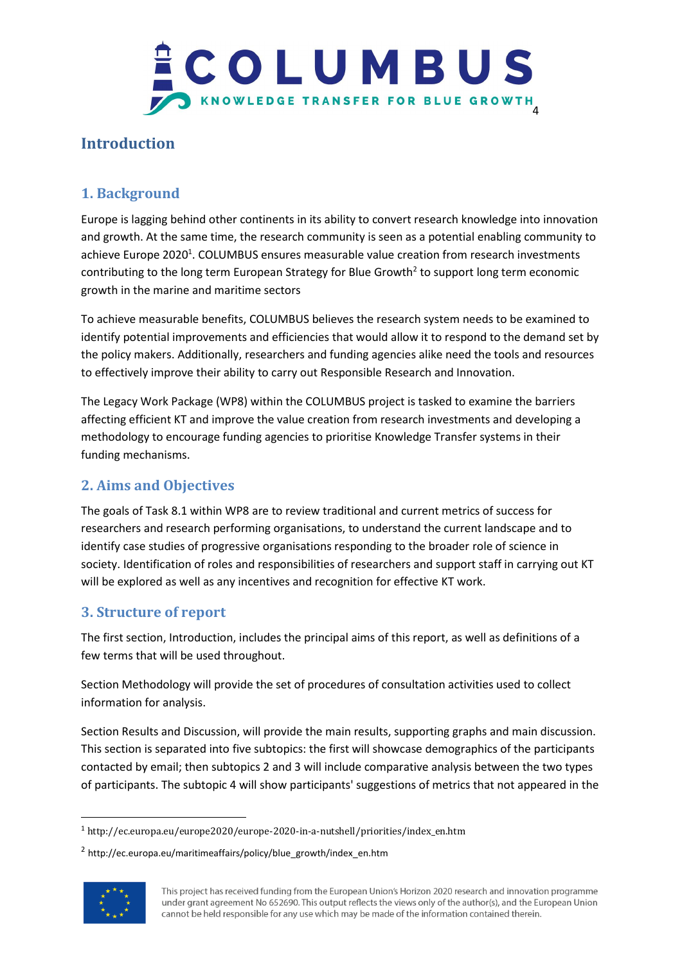

## **Introduction**

## **1. Background**

Europe is lagging behind other continents in its ability to convert research knowledge into innovation and growth. At the same time, the research community is seen as a potential enabling community to achieve Europe 2020<sup>1</sup>. COLUMBUS ensures measurable value creation from research investments contributing to the long term European Strategy for Blue Growth<sup>2</sup> to support long term economic growth in the marine and maritime sectors

To achieve measurable benefits, COLUMBUS believes the research system needs to be examined to identify potential improvements and efficiencies that would allow it to respond to the demand set by the policy makers. Additionally, researchers and funding agencies alike need the tools and resources to effectively improve their ability to carry out Responsible Research and Innovation.

The Legacy Work Package (WP8) within the COLUMBUS project is tasked to examine the barriers affecting efficient KT and improve the value creation from research investments and developing a methodology to encourage funding agencies to prioritise Knowledge Transfer systems in their funding mechanisms.

## **2. Aims and Objectives**

The goals of Task 8.1 within WP8 are to review traditional and current metrics of success for researchers and research performing organisations, to understand the current landscape and to identify case studies of progressive organisations responding to the broader role of science in society. Identification of roles and responsibilities of researchers and support staff in carrying out KT will be explored as well as any incentives and recognition for effective KT work.

## **3. Structure of report**

The first section, Introduction, includes the principal aims of this report, as well as definitions of a few terms that will be used throughout.

Section Methodology will provide the set of procedures of consultation activities used to collect information for analysis.

Section Results and Discussion, will provide the main results, supporting graphs and main discussion. This section is separated into five subtopics: the first will showcase demographics of the participants contacted by email; then subtopics 2 and 3 will include comparative analysis between the two types of participants. The subtopic 4 will show participants' suggestions of metrics that not appeared in the

<sup>&</sup>lt;sup>2</sup> http://ec.europa.eu/maritimeaffairs/policy/blue\_growth/index\_en.htm



1

<sup>1</sup> http://ec.europa.eu/europe2020/europe-2020-in-a-nutshell/priorities/index\_en.htm

This project has received funding from the European Union's Horizon 2020 research and innovation programme under grant agreement No 652690. This output reflects the views only of the author(s), and the European Union cannot be held responsible for any use which may be made of the information contained therein.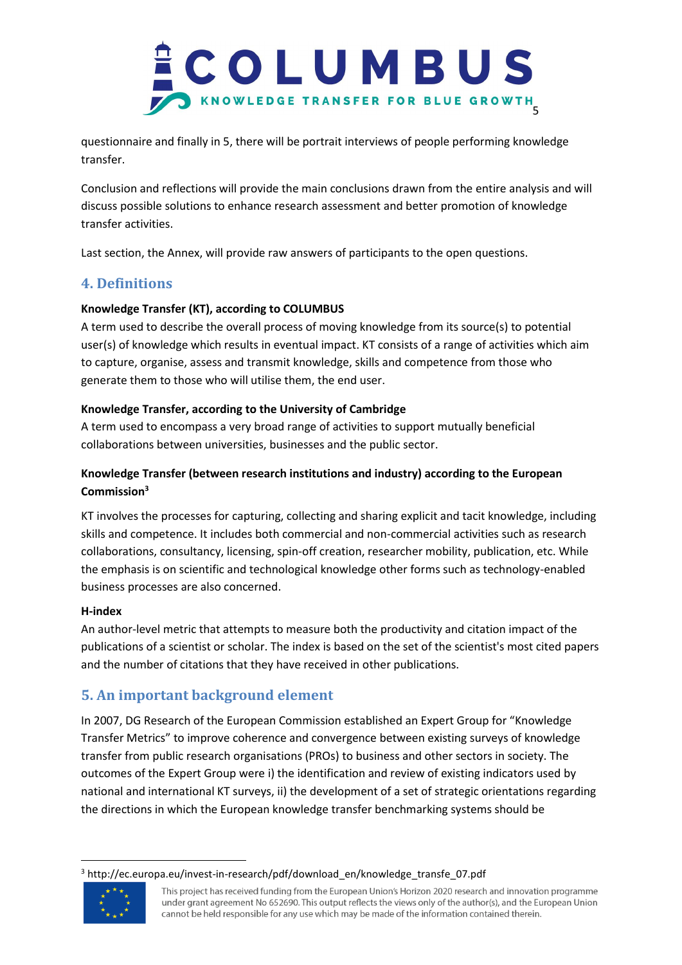

questionnaire and finally in 5, there will be portrait interviews of people performing knowledge transfer.

Conclusion and reflections will provide the main conclusions drawn from the entire analysis and will discuss possible solutions to enhance research assessment and better promotion of knowledge transfer activities.

Last section, the Annex, will provide raw answers of participants to the open questions.

## **4. Definitions**

## **Knowledge Transfer (KT), according to COLUMBUS**

A term used to describe the overall process of moving knowledge from its source(s) to potential user(s) of knowledge which results in eventual impact. KT consists of a range of activities which aim to capture, organise, assess and transmit knowledge, skills and competence from those who generate them to those who will utilise them, the end user.

## **Knowledge Transfer, according to the University of Cambridge**

A term used to encompass a very broad range of activities to support mutually beneficial collaborations between universities, businesses and the public sector.

## **Knowledge Transfer (between research institutions and industry) according to the European Commission<sup>3</sup>**

KT involves the processes for capturing, collecting and sharing explicit and tacit knowledge, including skills and competence. It includes both commercial and non-commercial activities such as research collaborations, consultancy, licensing, spin-off creation, researcher mobility, publication, etc. While the emphasis is on scientific and technological knowledge other forms such as technology-enabled business processes are also concerned.

## **H-index**

An author-level metric that attempts to measure both the productivity and citation impact of the publications of a scientist or scholar. The index is based on the set of the scientist's most cited papers and the number of citations that they have received in other publications.

## **5. An important background element**

In 2007, DG Research of the European Commission established an Expert Group for "Knowledge Transfer Metrics" to improve coherence and convergence between existing surveys of knowledge transfer from public research organisations (PROs) to business and other sectors in society. The outcomes of the Expert Group were i) the identification and review of existing indicators used by national and international KT surveys, ii) the development of a set of strategic orientations regarding the directions in which the European knowledge transfer benchmarking systems should be

**<sup>.</sup>** <sup>3</sup> http://ec.europa.eu/invest-in-research/pdf/download\_en/knowledge\_transfe\_07.pdf



This project has received funding from the European Union's Horizon 2020 research and innovation programme under grant agreement No 652690. This output reflects the views only of the author(s), and the European Union cannot be held responsible for any use which may be made of the information contained therein.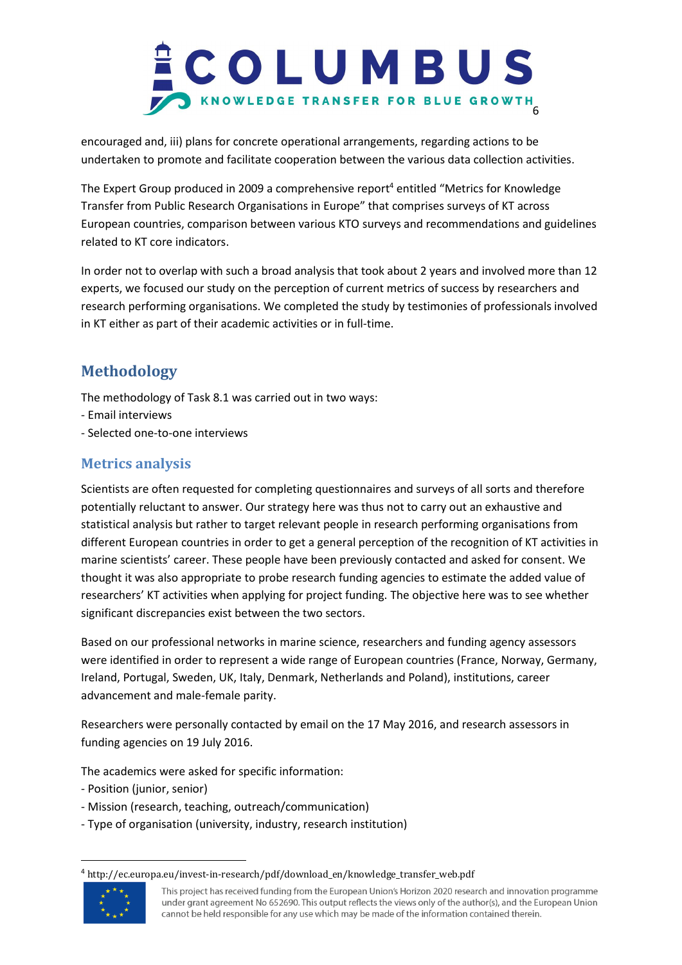

encouraged and, iii) plans for concrete operational arrangements, regarding actions to be undertaken to promote and facilitate cooperation between the various data collection activities.

The Expert Group produced in 2009 a comprehensive report<sup>4</sup> entitled "Metrics for Knowledge Transfer from Public Research Organisations in Europe" that comprises surveys of KT across European countries, comparison between various KTO surveys and recommendations and guidelines related to KT core indicators.

In order not to overlap with such a broad analysis that took about 2 years and involved more than 12 experts, we focused our study on the perception of current metrics of success by researchers and research performing organisations. We completed the study by testimonies of professionals involved in KT either as part of their academic activities or in full-time.

## **Methodology**

The methodology of Task 8.1 was carried out in two ways:

- Email interviews
- Selected one-to-one interviews

## **Metrics analysis**

Scientists are often requested for completing questionnaires and surveys of all sorts and therefore potentially reluctant to answer. Our strategy here was thus not to carry out an exhaustive and statistical analysis but rather to target relevant people in research performing organisations from different European countries in order to get a general perception of the recognition of KT activities in marine scientists' career. These people have been previously contacted and asked for consent. We thought it was also appropriate to probe research funding agencies to estimate the added value of researchers' KT activities when applying for project funding. The objective here was to see whether significant discrepancies exist between the two sectors.

Based on our professional networks in marine science, researchers and funding agency assessors were identified in order to represent a wide range of European countries (France, Norway, Germany, Ireland, Portugal, Sweden, UK, Italy, Denmark, Netherlands and Poland), institutions, career advancement and male-female parity.

Researchers were personally contacted by email on the 17 May 2016, and research assessors in funding agencies on 19 July 2016.

The academics were asked for specific information:

- Position (junior, senior)
- Mission (research, teaching, outreach/communication)
- Type of organisation (university, industry, research institution)

<sup>4</sup> http://ec.europa.eu/invest-in-research/pdf/download\_en/knowledge\_transfer\_web.pdf



**.** 

This project has received funding from the European Union's Horizon 2020 research and innovation programme under grant agreement No 652690. This output reflects the views only of the author(s), and the European Union cannot be held responsible for any use which may be made of the information contained therein.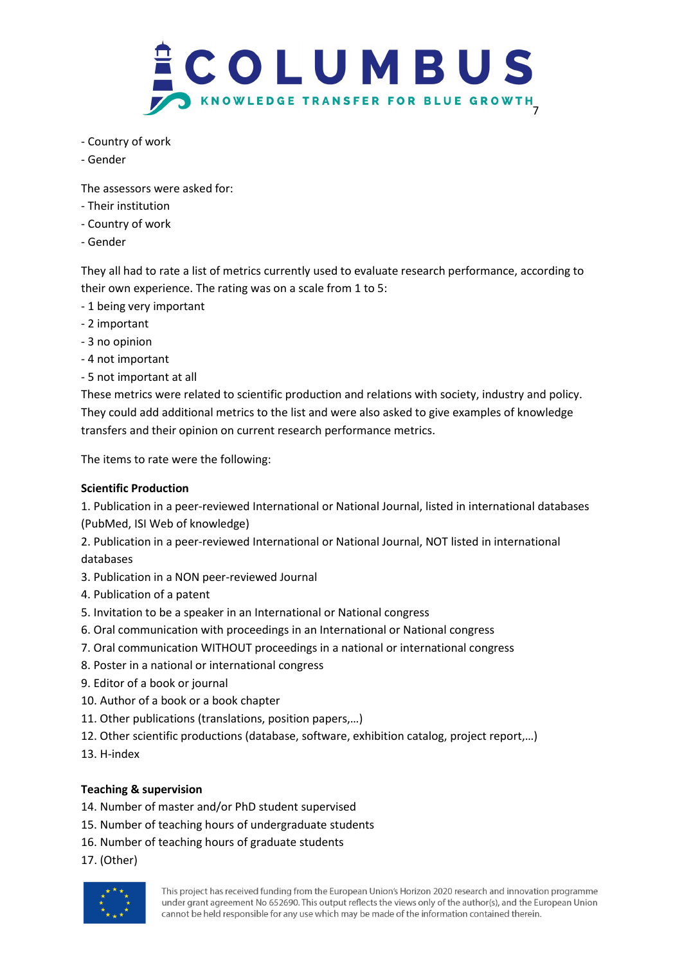

- Country of work
- Gender

The assessors were asked for:

- Their institution
- Country of work
- Gender

They all had to rate a list of metrics currently used to evaluate research performance, according to their own experience. The rating was on a scale from 1 to 5:

- 1 being very important
- 2 important
- 3 no opinion
- 4 not important
- 5 not important at all

These metrics were related to scientific production and relations with society, industry and policy. They could add additional metrics to the list and were also asked to give examples of knowledge transfers and their opinion on current research performance metrics.

The items to rate were the following:

## **Scientific Production**

1. Publication in a peer-reviewed International or National Journal, listed in international databases (PubMed, ISI Web of knowledge)

2. Publication in a peer-reviewed International or National Journal, NOT listed in international databases

- 3. Publication in a NON peer-reviewed Journal
- 4. Publication of a patent
- 5. Invitation to be a speaker in an International or National congress
- 6. Oral communication with proceedings in an International or National congress
- 7. Oral communication WITHOUT proceedings in a national or international congress
- 8. Poster in a national or international congress
- 9. Editor of a book or journal
- 10. Author of a book or a book chapter
- 11. Other publications (translations, position papers,…)
- 12. Other scientific productions (database, software, exhibition catalog, project report,…)
- 13. H-index

## **Teaching & supervision**

- 14. Number of master and/or PhD student supervised
- 15. Number of teaching hours of undergraduate students
- 16. Number of teaching hours of graduate students
- 17. (Other)

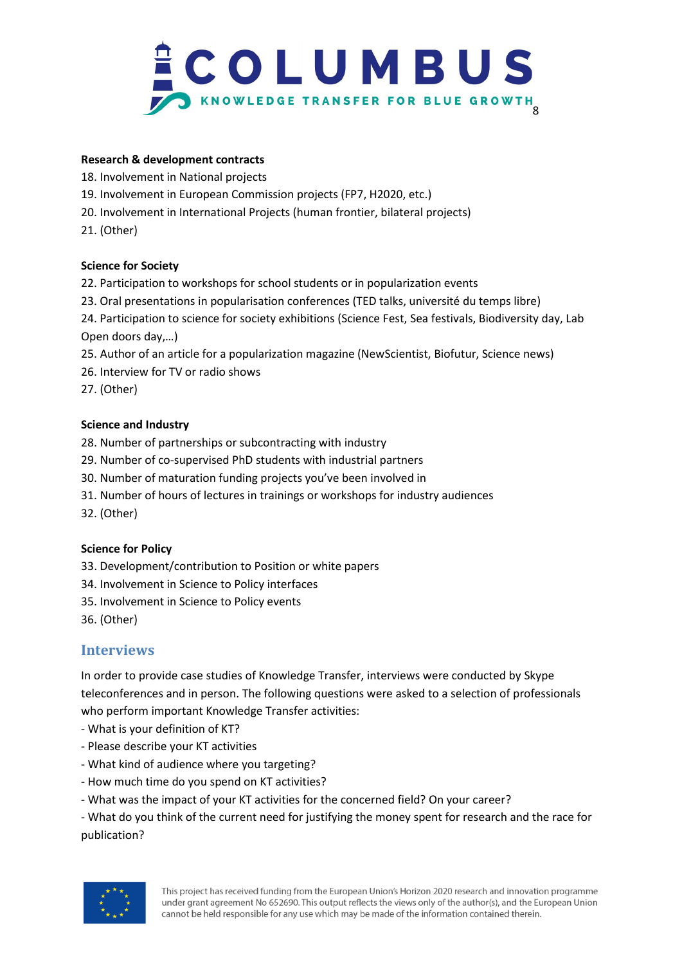

#### **Research & development contracts**

- 18. Involvement in National projects
- 19. Involvement in European Commission projects (FP7, H2020, etc.)
- 20. Involvement in International Projects (human frontier, bilateral projects)
- 21. (Other)

#### **Science for Society**

- 22. Participation to workshops for school students or in popularization events
- 23. Oral presentations in popularisation conferences (TED talks, université du temps libre)
- 24. Participation to science for society exhibitions (Science Fest, Sea festivals, Biodiversity day, Lab Open doors day,…)
- 25. Author of an article for a popularization magazine (NewScientist, Biofutur, Science news)
- 26. Interview for TV or radio shows

27. (Other)

#### **Science and Industry**

- 28. Number of partnerships or subcontracting with industry
- 29. Number of co-supervised PhD students with industrial partners
- 30. Number of maturation funding projects you've been involved in
- 31. Number of hours of lectures in trainings or workshops for industry audiences
- 32. (Other)

## **Science for Policy**

- 33. Development/contribution to Position or white papers
- 34. Involvement in Science to Policy interfaces
- 35. Involvement in Science to Policy events
- 36. (Other)

## **Interviews**

In order to provide case studies of Knowledge Transfer, interviews were conducted by Skype teleconferences and in person. The following questions were asked to a selection of professionals who perform important Knowledge Transfer activities:

- What is your definition of KT?
- Please describe your KT activities
- What kind of audience where you targeting?
- How much time do you spend on KT activities?
- What was the impact of your KT activities for the concerned field? On your career?

- What do you think of the current need for justifying the money spent for research and the race for publication?

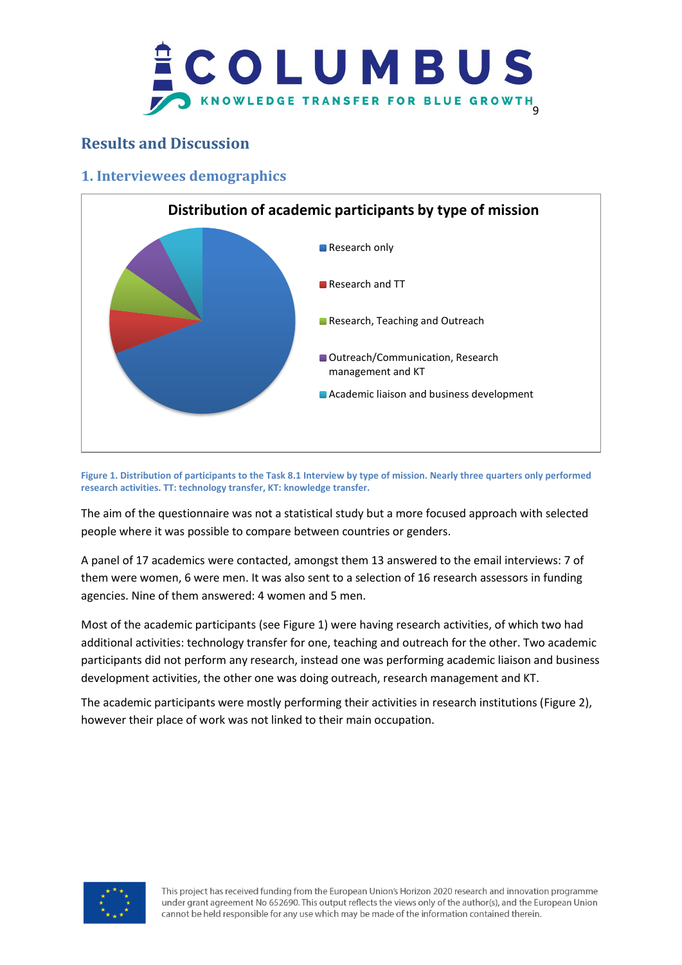

## **Results and Discussion**

## **1. Interviewees demographics**



**Figure 1. Distribution of participants to the Task 8.1 Interview by type of mission. Nearly three quarters only performed research activities. TT: technology transfer, KT: knowledge transfer.**

The aim of the questionnaire was not a statistical study but a more focused approach with selected people where it was possible to compare between countries or genders.

A panel of 17 academics were contacted, amongst them 13 answered to the email interviews: 7 of them were women, 6 were men. It was also sent to a selection of 16 research assessors in funding agencies. Nine of them answered: 4 women and 5 men.

Most of the academic participants (see Figure 1) were having research activities, of which two had additional activities: technology transfer for one, teaching and outreach for the other. Two academic participants did not perform any research, instead one was performing academic liaison and business development activities, the other one was doing outreach, research management and KT.

The academic participants were mostly performing their activities in research institutions (Figure 2), however their place of work was not linked to their main occupation.

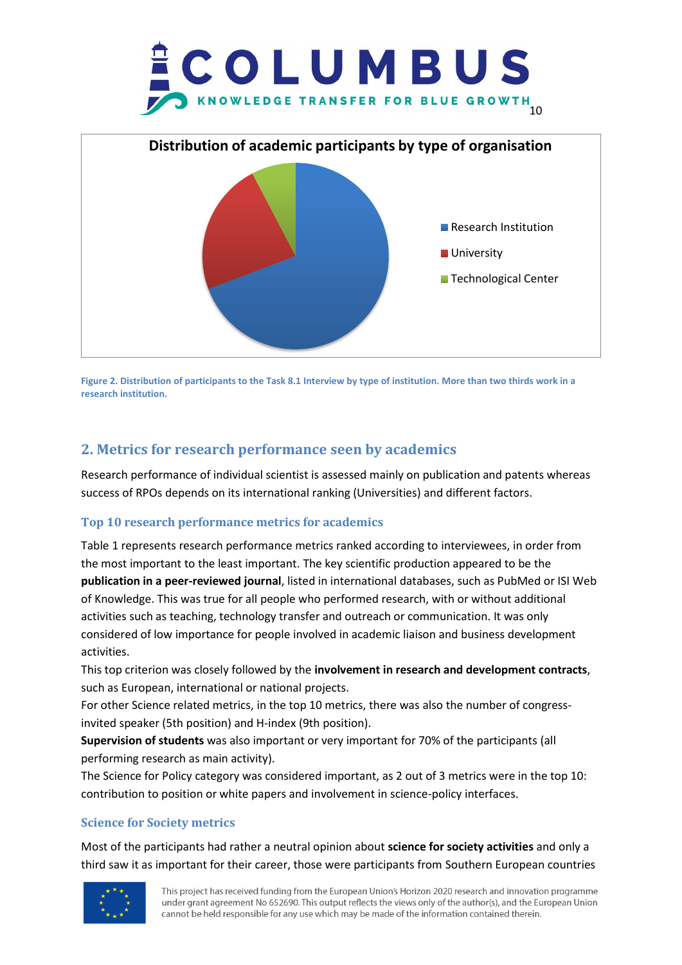



**Figure 2. Distribution of participants to the Task 8.1 Interview by type of institution. More than two thirds work in a research institution.**

## **2. Metrics for research performance seen by academics**

Research performance of individual scientist is assessed mainly on publication and patents whereas success of RPOs depends on its international ranking (Universities) and different factors.

## **Top 10 research performance metrics for academics**

Table 1 represents research performance metrics ranked according to interviewees, in order from the most important to the least important. The key scientific production appeared to be the **publication in a peer-reviewed journal**, listed in international databases, such as PubMed or ISI Web of Knowledge. This was true for all people who performed research, with or without additional activities such as teaching, technology transfer and outreach or communication. It was only considered of low importance for people involved in academic liaison and business development activities.

This top criterion was closely followed by the **involvement in research and development contracts**, such as European, international or national projects.

For other Science related metrics, in the top 10 metrics, there was also the number of congressinvited speaker (5th position) and H-index (9th position).

**Supervision of students** was also important or very important for 70% of the participants (all performing research as main activity).

The Science for Policy category was considered important, as 2 out of 3 metrics were in the top 10: contribution to position or white papers and involvement in science-policy interfaces.

## **Science for Society metrics**

Most of the participants had rather a neutral opinion about **science for society activities** and only a third saw it as important for their career, those were participants from Southern European countries

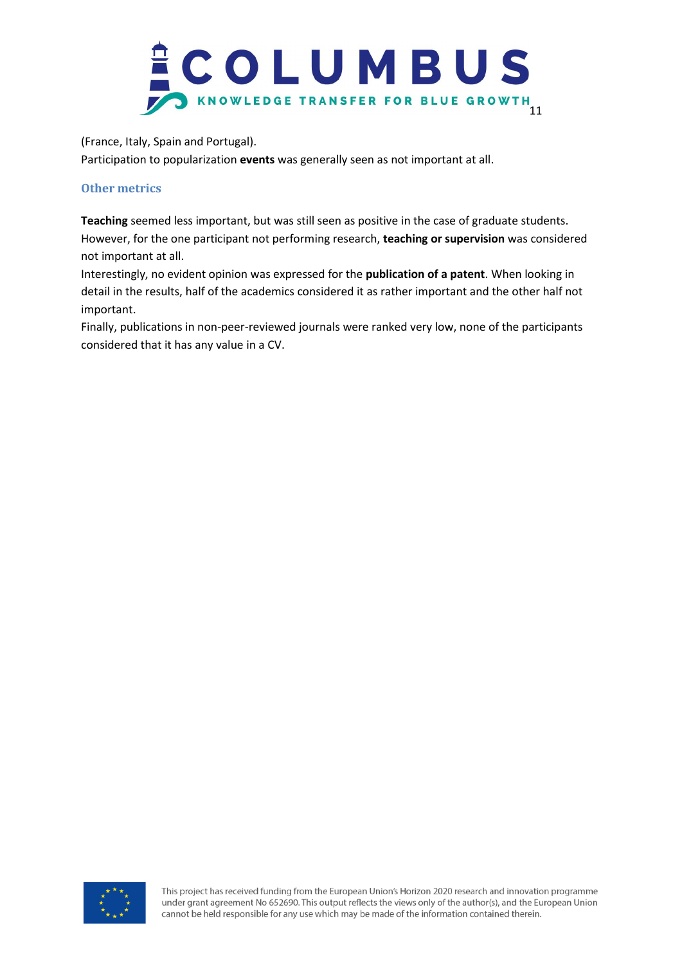

(France, Italy, Spain and Portugal).

Participation to popularization **events** was generally seen as not important at all.

#### **Other metrics**

**Teaching** seemed less important, but was still seen as positive in the case of graduate students. However, for the one participant not performing research, **teaching or supervision** was considered not important at all.

Interestingly, no evident opinion was expressed for the **publication of a patent**. When looking in detail in the results, half of the academics considered it as rather important and the other half not important.

Finally, publications in non-peer-reviewed journals were ranked very low, none of the participants considered that it has any value in a CV.

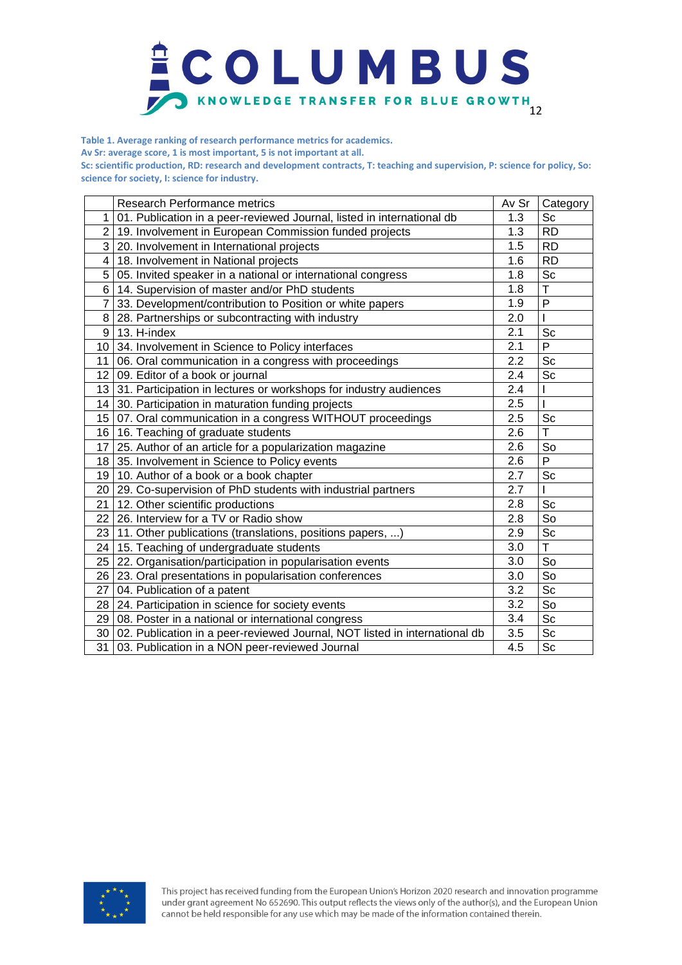

**Table 1. Average ranking of research performance metrics for academics.** 

**Av Sr: average score, 1 is most important, 5 is not important at all.**

**Sc: scientific production, RD: research and development contracts, T: teaching and supervision, P: science for policy, So: science for society, I: science for industry.**

|                  | <b>Research Performance metrics</b>                                        | Av Sr | Category                     |
|------------------|----------------------------------------------------------------------------|-------|------------------------------|
| 1                | 01. Publication in a peer-reviewed Journal, listed in international db     | 1.3   | Sc                           |
| $\overline{2}$   | 19. Involvement in European Commission funded projects                     | 1.3   | <b>RD</b>                    |
| 3                | 20. Involvement in International projects                                  | 1.5   | <b>RD</b>                    |
| 4                | 18. Involvement in National projects                                       | 1.6   | <b>RD</b>                    |
| 5                | 05. Invited speaker in a national or international congress                | 1.8   | $\operatorname{\mathsf{Sc}}$ |
| 6                | 14. Supervision of master and/or PhD students                              | 1.8   | $\mathsf T$                  |
| 7                | 33. Development/contribution to Position or white papers                   | 1.9   | P                            |
| 8                | 28. Partnerships or subcontracting with industry                           | 2.0   |                              |
| 9                | 13. H-index                                                                | 2.1   | Sc                           |
| 10               | 34. Involvement in Science to Policy interfaces                            | 2.1   | P                            |
| 11               | 06. Oral communication in a congress with proceedings                      | 2.2   | Sc                           |
| 12 <sup>°</sup>  | 09. Editor of a book or journal                                            | 2.4   | Sc                           |
| 13               | 31. Participation in lectures or workshops for industry audiences          | 2.4   |                              |
| 14               | 30. Participation in maturation funding projects                           | 2.5   |                              |
| 15 <sub>15</sub> | 07. Oral communication in a congress WITHOUT proceedings                   | 2.5   | Sc                           |
| 16               | 16. Teaching of graduate students                                          | 2.6   | T                            |
| 17               | 25. Author of an article for a popularization magazine                     | 2.6   | So                           |
| 18 <sup>1</sup>  | 35. Involvement in Science to Policy events                                | 2.6   | P                            |
| 19               | 10. Author of a book or a book chapter                                     | 2.7   | Sc                           |
| 20               | 29. Co-supervision of PhD students with industrial partners                | 2.7   |                              |
| 21               | 12. Other scientific productions                                           | 2.8   | Sc                           |
| 22               | 26. Interview for a TV or Radio show                                       | 2.8   | So                           |
| 23               | 11. Other publications (translations, positions papers, )                  | 2.9   | Sc                           |
| 24               | 15. Teaching of undergraduate students                                     | 3.0   | T.                           |
| 25               | 22. Organisation/participation in popularisation events                    | 3.0   | So                           |
| 26               | 23. Oral presentations in popularisation conferences                       | 3.0   | So                           |
| 27               | 04. Publication of a patent                                                | 3.2   | Sc                           |
| 28               | 24. Participation in science for society events                            | 3.2   | So                           |
| 29               | 08. Poster in a national or international congress                         | 3.4   | Sc                           |
| 30               | 02. Publication in a peer-reviewed Journal, NOT listed in international db | 3.5   | Sc                           |
| 31               | 03. Publication in a NON peer-reviewed Journal                             | 4.5   | Sc                           |

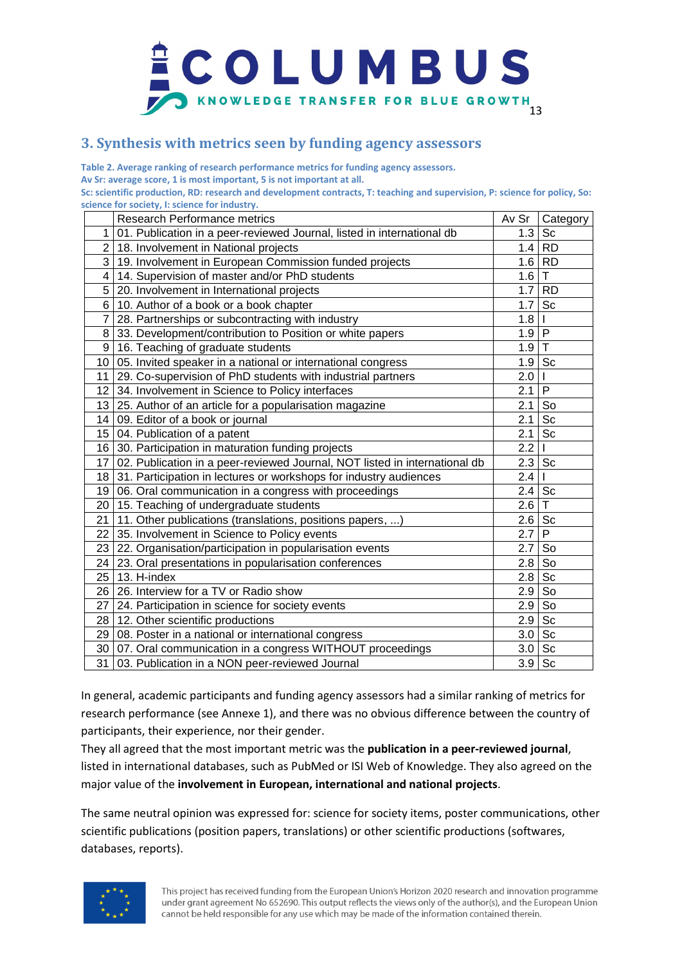

## **3. Synthesis with metrics seen by funding agency assessors**

**Table 2. Average ranking of research performance metrics for funding agency assessors. Av Sr: average score, 1 is most important, 5 is not important at all.**

**Sc: scientific production, RD: research and development contracts, T: teaching and supervision, P: science for policy, So: science for society, I: science for industry.**

|                 | Research Performance metrics                                               | Av Sr         | Category     |
|-----------------|----------------------------------------------------------------------------|---------------|--------------|
| 1               | 01. Publication in a peer-reviewed Journal, listed in international db     | 1.3           | Sc           |
| $\overline{2}$  | 18. Involvement in National projects                                       |               | $1.4$ RD     |
| 3               | 19. Involvement in European Commission funded projects                     |               | $1.6$ RD     |
| 4               | 14. Supervision of master and/or PhD students                              | 1.6           | $\mathsf T$  |
| 5               | 20. Involvement in International projects                                  | 1.7           | <b>RD</b>    |
| 6               | 10. Author of a book or a book chapter                                     | 1.7           | Sc           |
| 7               | 28. Partnerships or subcontracting with industry                           | 1.8           |              |
| 8               | 33. Development/contribution to Position or white papers                   | $1.9$ P       |              |
| 9               | 16. Teaching of graduate students                                          | $1.9$ T       |              |
| 10              | 05. Invited speaker in a national or international congress                | 1.9           | <b>Sc</b>    |
| 11              | 29. Co-supervision of PhD students with industrial partners                | 2.0           |              |
| 12 <sub>1</sub> | 34. Involvement in Science to Policy interfaces                            | 2.1           | P            |
| 13 <sub>l</sub> | 25. Author of an article for a popularisation magazine                     | 2.1           | So           |
| 14 <sub>1</sub> | 09. Editor of a book or journal                                            | 2.1           | Sc           |
| 15 <sub>l</sub> | 04. Publication of a patent                                                | 2.1           | Sc           |
| 16              | 30. Participation in maturation funding projects                           | 2.2           |              |
| 17              | 02. Publication in a peer-reviewed Journal, NOT listed in international db | 2.3           | Sc           |
|                 | 18 31. Participation in lectures or workshops for industry audiences       | 2.4           |              |
|                 | 19 06. Oral communication in a congress with proceedings                   | $2.4^{\circ}$ | Sc           |
|                 | 20   15. Teaching of undergraduate students                                | 2.6           | $\mathsf{T}$ |
| 21              | 11. Other publications (translations, positions papers, )                  | $2.6$ Sc      |              |
| 22              | 35. Involvement in Science to Policy events                                | 2.7           | $\mathsf{P}$ |
| 23 <sup>1</sup> | 22. Organisation/participation in popularisation events                    | 2.7           | So           |
| 24              | 23. Oral presentations in popularisation conferences                       | 2.8           | So           |
| 25              | 13. H-index                                                                | 2.8           | Sc           |
| 26 <sub>1</sub> | 26. Interview for a TV or Radio show                                       | 2.9           | So           |
| 27              | 24. Participation in science for society events                            | 2.9           | So           |
| 28 <sub>1</sub> | 12. Other scientific productions                                           | 2.9           | Sc           |
| 29 <sub>1</sub> | 08. Poster in a national or international congress                         | $3.0$ Sc      |              |
| 30 <sup>1</sup> | 07. Oral communication in a congress WITHOUT proceedings                   | 3.0           | Sc           |
| 31              | 03. Publication in a NON peer-reviewed Journal                             | $3.9$ Sc      |              |

In general, academic participants and funding agency assessors had a similar ranking of metrics for research performance (see Annexe 1), and there was no obvious difference between the country of participants, their experience, nor their gender.

They all agreed that the most important metric was the **publication in a peer-reviewed journal**, listed in international databases, such as PubMed or ISI Web of Knowledge. They also agreed on the major value of the **involvement in European, international and national projects**.

The same neutral opinion was expressed for: science for society items, poster communications, other scientific publications (position papers, translations) or other scientific productions (softwares, databases, reports).

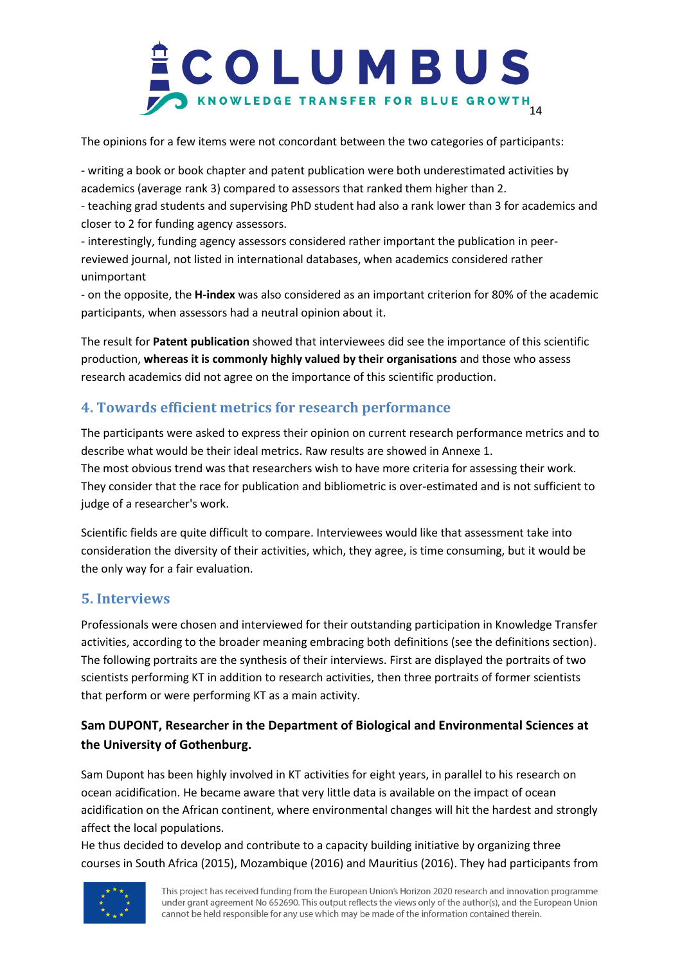

The opinions for a few items were not concordant between the two categories of participants:

- writing a book or book chapter and patent publication were both underestimated activities by academics (average rank 3) compared to assessors that ranked them higher than 2.

- teaching grad students and supervising PhD student had also a rank lower than 3 for academics and closer to 2 for funding agency assessors.

- interestingly, funding agency assessors considered rather important the publication in peerreviewed journal, not listed in international databases, when academics considered rather unimportant

- on the opposite, the **H-index** was also considered as an important criterion for 80% of the academic participants, when assessors had a neutral opinion about it.

The result for **Patent publication** showed that interviewees did see the importance of this scientific production, **whereas it is commonly highly valued by their organisations** and those who assess research academics did not agree on the importance of this scientific production.

## **4. Towards efficient metrics for research performance**

The participants were asked to express their opinion on current research performance metrics and to describe what would be their ideal metrics. Raw results are showed in Annexe 1. The most obvious trend was that researchers wish to have more criteria for assessing their work. They consider that the race for publication and bibliometric is over-estimated and is not sufficient to judge of a researcher's work.

Scientific fields are quite difficult to compare. Interviewees would like that assessment take into consideration the diversity of their activities, which, they agree, is time consuming, but it would be the only way for a fair evaluation.

## **5. Interviews**

Professionals were chosen and interviewed for their outstanding participation in Knowledge Transfer activities, according to the broader meaning embracing both definitions (see the definitions section). The following portraits are the synthesis of their interviews. First are displayed the portraits of two scientists performing KT in addition to research activities, then three portraits of former scientists that perform or were performing KT as a main activity.

## **Sam DUPONT, Researcher in the Department of Biological and Environmental Sciences at the University of Gothenburg.**

Sam Dupont has been highly involved in KT activities for eight years, in parallel to his research on ocean acidification. He became aware that very little data is available on the impact of ocean acidification on the African continent, where environmental changes will hit the hardest and strongly affect the local populations.

He thus decided to develop and contribute to a capacity building initiative by organizing three courses in South Africa (2015), Mozambique (2016) and Mauritius (2016). They had participants from

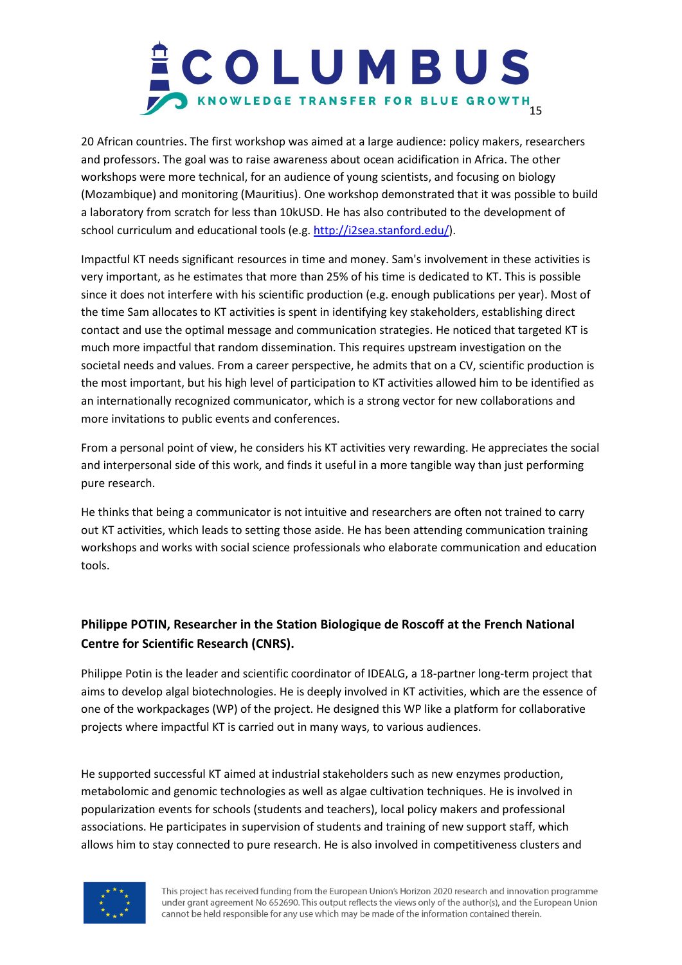# COLUMBUS KNOWLEDGE TRANSFER FOR BLUE GROWTH

20 African countries. The first workshop was aimed at a large audience: policy makers, researchers and professors. The goal was to raise awareness about ocean acidification in Africa. The other workshops were more technical, for an audience of young scientists, and focusing on biology (Mozambique) and monitoring (Mauritius). One workshop demonstrated that it was possible to build a laboratory from scratch for less than 10kUSD. He has also contributed to the development of school curriculum and educational tools (e.g. [http://i2sea.stanford.edu/\)](http://i2sea.stanford.edu/).

Impactful KT needs significant resources in time and money. Sam's involvement in these activities is very important, as he estimates that more than 25% of his time is dedicated to KT. This is possible since it does not interfere with his scientific production (e.g. enough publications per year). Most of the time Sam allocates to KT activities is spent in identifying key stakeholders, establishing direct contact and use the optimal message and communication strategies. He noticed that targeted KT is much more impactful that random dissemination. This requires upstream investigation on the societal needs and values. From a career perspective, he admits that on a CV, scientific production is the most important, but his high level of participation to KT activities allowed him to be identified as an internationally recognized communicator, which is a strong vector for new collaborations and more invitations to public events and conferences.

From a personal point of view, he considers his KT activities very rewarding. He appreciates the social and interpersonal side of this work, and finds it useful in a more tangible way than just performing pure research.

He thinks that being a communicator is not intuitive and researchers are often not trained to carry out KT activities, which leads to setting those aside. He has been attending communication training workshops and works with social science professionals who elaborate communication and education tools.

## **Philippe POTIN, Researcher in the Station Biologique de Roscoff at the French National Centre for Scientific Research (CNRS).**

Philippe Potin is the leader and scientific coordinator of IDEALG, a 18-partner long-term project that aims to develop algal biotechnologies. He is deeply involved in KT activities, which are the essence of one of the workpackages (WP) of the project. He designed this WP like a platform for collaborative projects where impactful KT is carried out in many ways, to various audiences.

He supported successful KT aimed at industrial stakeholders such as new enzymes production, metabolomic and genomic technologies as well as algae cultivation techniques. He is involved in popularization events for schools (students and teachers), local policy makers and professional associations. He participates in supervision of students and training of new support staff, which allows him to stay connected to pure research. He is also involved in competitiveness clusters and

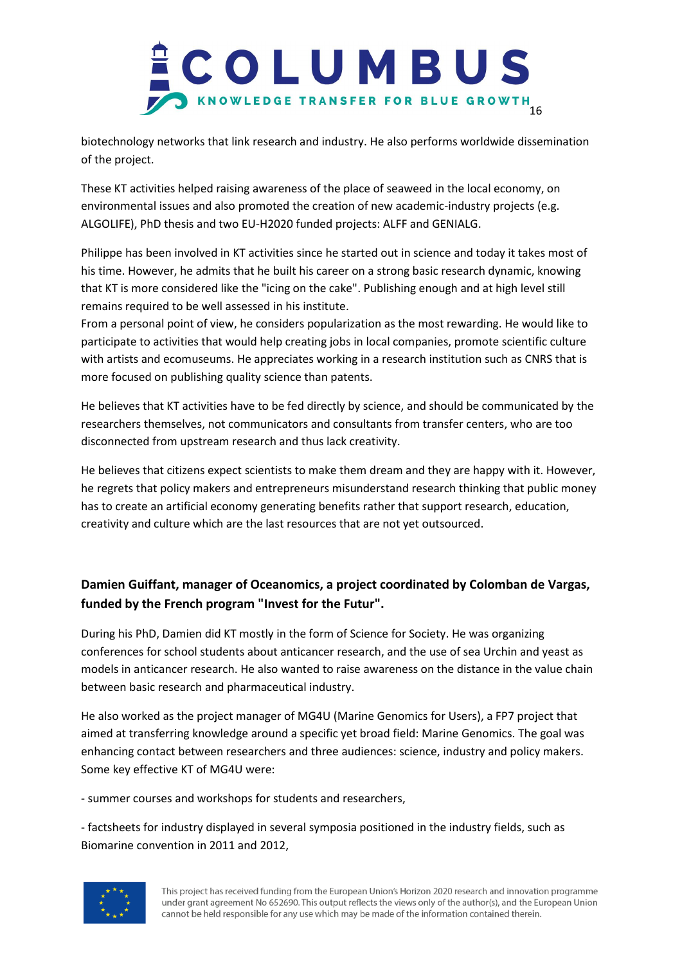

biotechnology networks that link research and industry. He also performs worldwide dissemination of the project.

These KT activities helped raising awareness of the place of seaweed in the local economy, on environmental issues and also promoted the creation of new academic-industry projects (e.g. ALGOLIFE), PhD thesis and two EU-H2020 funded projects: ALFF and GENIALG.

Philippe has been involved in KT activities since he started out in science and today it takes most of his time. However, he admits that he built his career on a strong basic research dynamic, knowing that KT is more considered like the "icing on the cake". Publishing enough and at high level still remains required to be well assessed in his institute.

From a personal point of view, he considers popularization as the most rewarding. He would like to participate to activities that would help creating jobs in local companies, promote scientific culture with artists and ecomuseums. He appreciates working in a research institution such as CNRS that is more focused on publishing quality science than patents.

He believes that KT activities have to be fed directly by science, and should be communicated by the researchers themselves, not communicators and consultants from transfer centers, who are too disconnected from upstream research and thus lack creativity.

He believes that citizens expect scientists to make them dream and they are happy with it. However, he regrets that policy makers and entrepreneurs misunderstand research thinking that public money has to create an artificial economy generating benefits rather that support research, education, creativity and culture which are the last resources that are not yet outsourced.

## **Damien Guiffant, manager of Oceanomics, a project coordinated by Colomban de Vargas, funded by the French program "Invest for the Futur".**

During his PhD, Damien did KT mostly in the form of Science for Society. He was organizing conferences for school students about anticancer research, and the use of sea Urchin and yeast as models in anticancer research. He also wanted to raise awareness on the distance in the value chain between basic research and pharmaceutical industry.

He also worked as the project manager of MG4U (Marine Genomics for Users), a FP7 project that aimed at transferring knowledge around a specific yet broad field: Marine Genomics. The goal was enhancing contact between researchers and three audiences: science, industry and policy makers. Some key effective KT of MG4U were:

- summer courses and workshops for students and researchers,

- factsheets for industry displayed in several symposia positioned in the industry fields, such as Biomarine convention in 2011 and 2012,

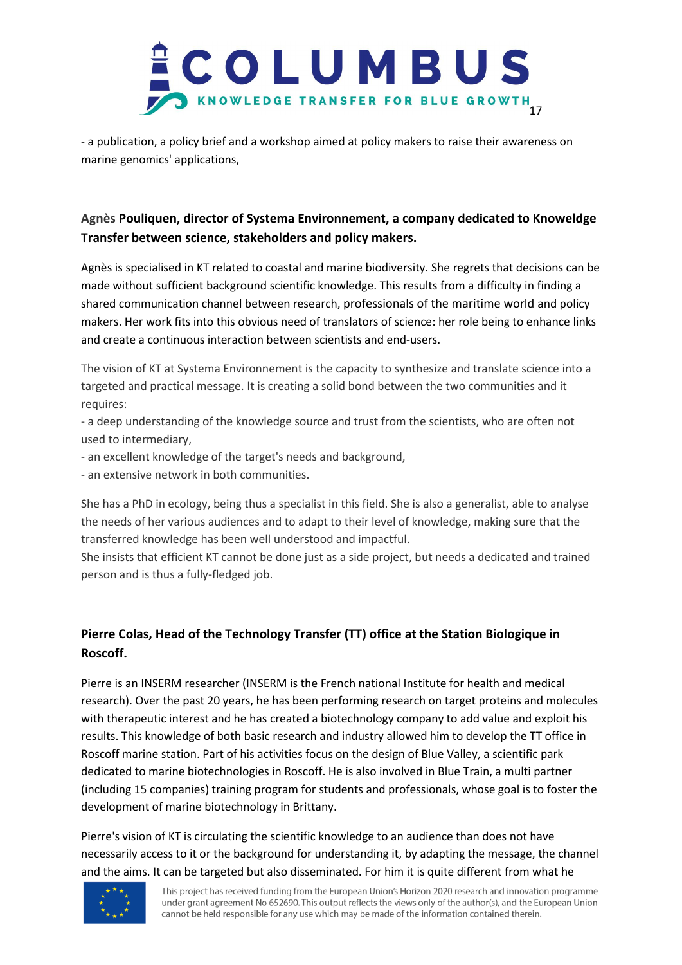

- a publication, a policy brief and a workshop aimed at policy makers to raise their awareness on marine genomics' applications,

## **Agnès Pouliquen, director of Systema Environnement, a company dedicated to Knoweldge Transfer between science, stakeholders and policy makers.**

Agnès is specialised in KT related to coastal and marine biodiversity. She regrets that decisions can be made without sufficient background scientific knowledge. This results from a difficulty in finding a shared communication channel between research, professionals of the maritime world and policy makers. Her work fits into this obvious need of translators of science: her role being to enhance links and create a continuous interaction between scientists and end-users.

The vision of KT at Systema Environnement is the capacity to synthesize and translate science into a targeted and practical message. It is creating a solid bond between the two communities and it requires:

- a deep understanding of the knowledge source and trust from the scientists, who are often not used to intermediary,

- an excellent knowledge of the target's needs and background,
- an extensive network in both communities.

She has a PhD in ecology, being thus a specialist in this field. She is also a generalist, able to analyse the needs of her various audiences and to adapt to their level of knowledge, making sure that the transferred knowledge has been well understood and impactful.

She insists that efficient KT cannot be done just as a side project, but needs a dedicated and trained person and is thus a fully-fledged job.

## **Pierre Colas, Head of the Technology Transfer (TT) office at the Station Biologique in Roscoff.**

Pierre is an INSERM researcher (INSERM is the French national Institute for health and medical research). Over the past 20 years, he has been performing research on target proteins and molecules with therapeutic interest and he has created a biotechnology company to add value and exploit his results. This knowledge of both basic research and industry allowed him to develop the TT office in Roscoff marine station. Part of his activities focus on the design of Blue Valley, a scientific park dedicated to marine biotechnologies in Roscoff. He is also involved in Blue Train, a multi partner (including 15 companies) training program for students and professionals, whose goal is to foster the development of marine biotechnology in Brittany.

Pierre's vision of KT is circulating the scientific knowledge to an audience than does not have necessarily access to it or the background for understanding it, by adapting the message, the channel and the aims. It can be targeted but also disseminated. For him it is quite different from what he

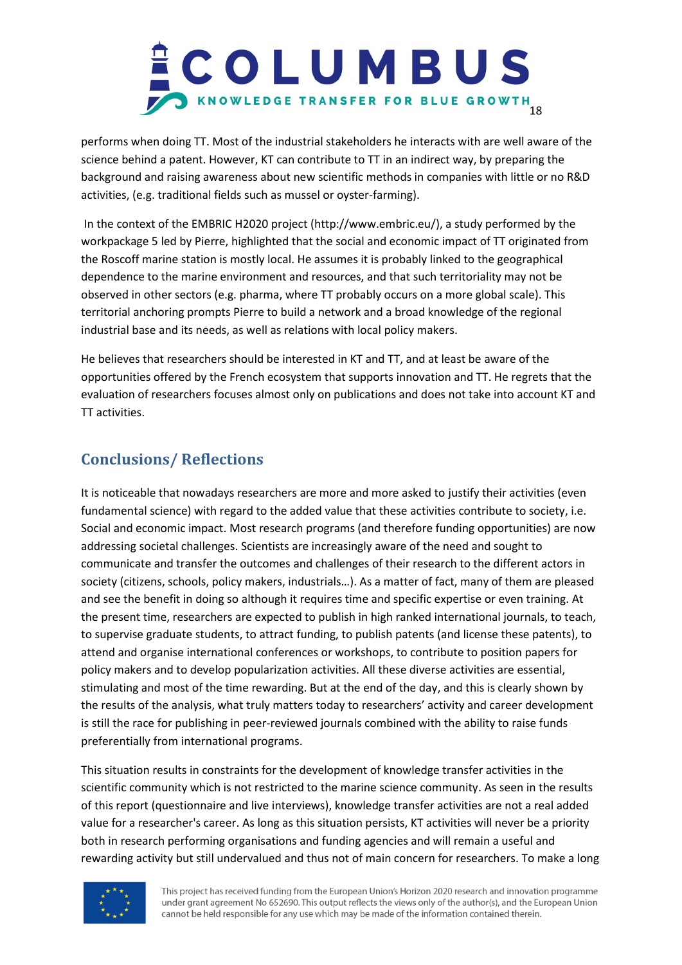## COLUMBUS S KNOWLEDGE TRANSFER FOR BLUE GROWTH

performs when doing TT. Most of the industrial stakeholders he interacts with are well aware of the science behind a patent. However, KT can contribute to TT in an indirect way, by preparing the background and raising awareness about new scientific methods in companies with little or no R&D activities, (e.g. traditional fields such as mussel or oyster-farming).

In the context of the EMBRIC H2020 project (http://www.embric.eu/), a study performed by the workpackage 5 led by Pierre, highlighted that the social and economic impact of TT originated from the Roscoff marine station is mostly local. He assumes it is probably linked to the geographical dependence to the marine environment and resources, and that such territoriality may not be observed in other sectors (e.g. pharma, where TT probably occurs on a more global scale). This territorial anchoring prompts Pierre to build a network and a broad knowledge of the regional industrial base and its needs, as well as relations with local policy makers.

He believes that researchers should be interested in KT and TT, and at least be aware of the opportunities offered by the French ecosystem that supports innovation and TT. He regrets that the evaluation of researchers focuses almost only on publications and does not take into account KT and TT activities.

## **Conclusions/ Reflections**

It is noticeable that nowadays researchers are more and more asked to justify their activities (even fundamental science) with regard to the added value that these activities contribute to society, i.e. Social and economic impact. Most research programs (and therefore funding opportunities) are now addressing societal challenges. Scientists are increasingly aware of the need and sought to communicate and transfer the outcomes and challenges of their research to the different actors in society (citizens, schools, policy makers, industrials…). As a matter of fact, many of them are pleased and see the benefit in doing so although it requires time and specific expertise or even training. At the present time, researchers are expected to publish in high ranked international journals, to teach, to supervise graduate students, to attract funding, to publish patents (and license these patents), to attend and organise international conferences or workshops, to contribute to position papers for policy makers and to develop popularization activities. All these diverse activities are essential, stimulating and most of the time rewarding. But at the end of the day, and this is clearly shown by the results of the analysis, what truly matters today to researchers' activity and career development is still the race for publishing in peer-reviewed journals combined with the ability to raise funds preferentially from international programs.

This situation results in constraints for the development of knowledge transfer activities in the scientific community which is not restricted to the marine science community. As seen in the results of this report (questionnaire and live interviews), knowledge transfer activities are not a real added value for a researcher's career. As long as this situation persists, KT activities will never be a priority both in research performing organisations and funding agencies and will remain a useful and rewarding activity but still undervalued and thus not of main concern for researchers. To make a long

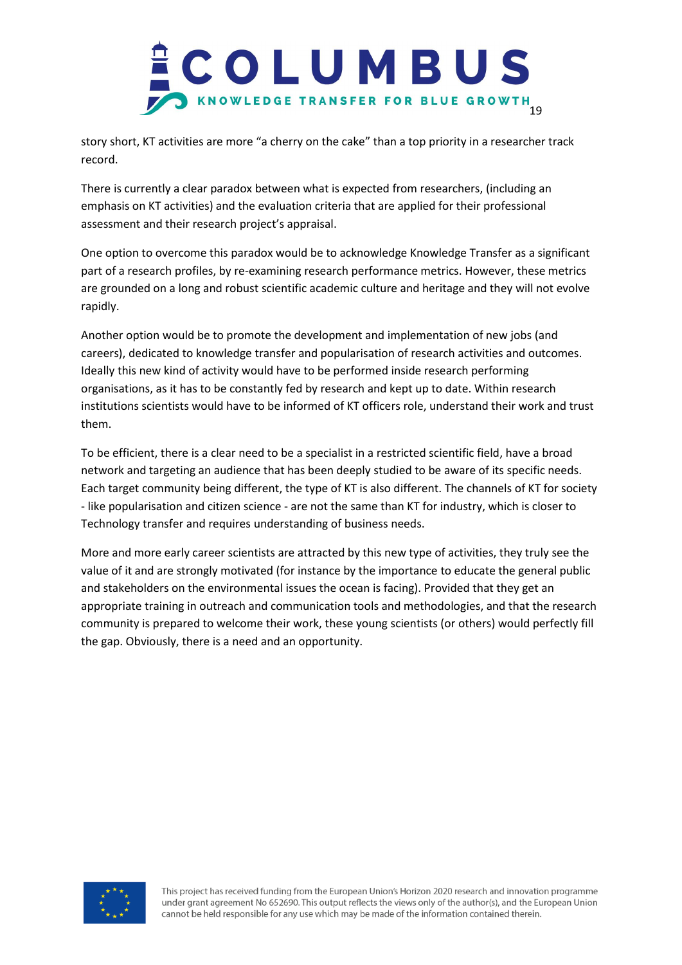

story short, KT activities are more "a cherry on the cake" than a top priority in a researcher track record.

There is currently a clear paradox between what is expected from researchers, (including an emphasis on KT activities) and the evaluation criteria that are applied for their professional assessment and their research project's appraisal.

One option to overcome this paradox would be to acknowledge Knowledge Transfer as a significant part of a research profiles, by re-examining research performance metrics. However, these metrics are grounded on a long and robust scientific academic culture and heritage and they will not evolve rapidly.

Another option would be to promote the development and implementation of new jobs (and careers), dedicated to knowledge transfer and popularisation of research activities and outcomes. Ideally this new kind of activity would have to be performed inside research performing organisations, as it has to be constantly fed by research and kept up to date. Within research institutions scientists would have to be informed of KT officers role, understand their work and trust them.

To be efficient, there is a clear need to be a specialist in a restricted scientific field, have a broad network and targeting an audience that has been deeply studied to be aware of its specific needs. Each target community being different, the type of KT is also different. The channels of KT for society - like popularisation and citizen science - are not the same than KT for industry, which is closer to Technology transfer and requires understanding of business needs.

More and more early career scientists are attracted by this new type of activities, they truly see the value of it and are strongly motivated (for instance by the importance to educate the general public and stakeholders on the environmental issues the ocean is facing). Provided that they get an appropriate training in outreach and communication tools and methodologies, and that the research community is prepared to welcome their work, these young scientists (or others) would perfectly fill the gap. Obviously, there is a need and an opportunity.

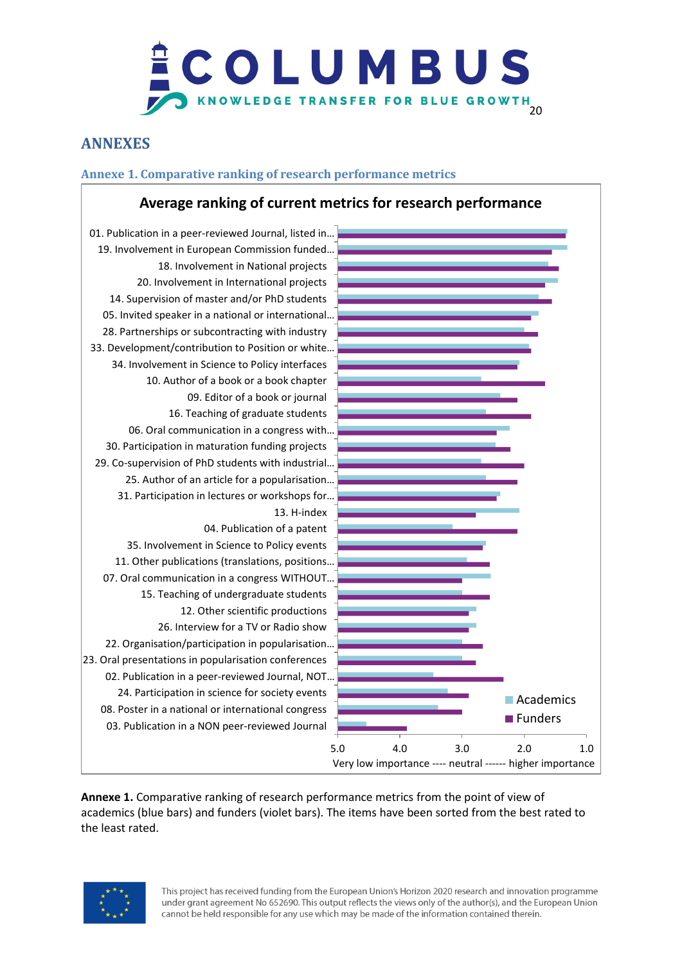# COLUMBUS KNOWLEDGE TRANSFER FOR BLUE GROWTH

## **ANNEXES**

## **Annexe 1. Comparative ranking of research performance metrics**

## **Average ranking of current metrics for research performance**



**Annexe 1.** Comparative ranking of research performance metrics from the point of view of academics (blue bars) and funders (violet bars). The items have been sorted from the best rated to the least rated.

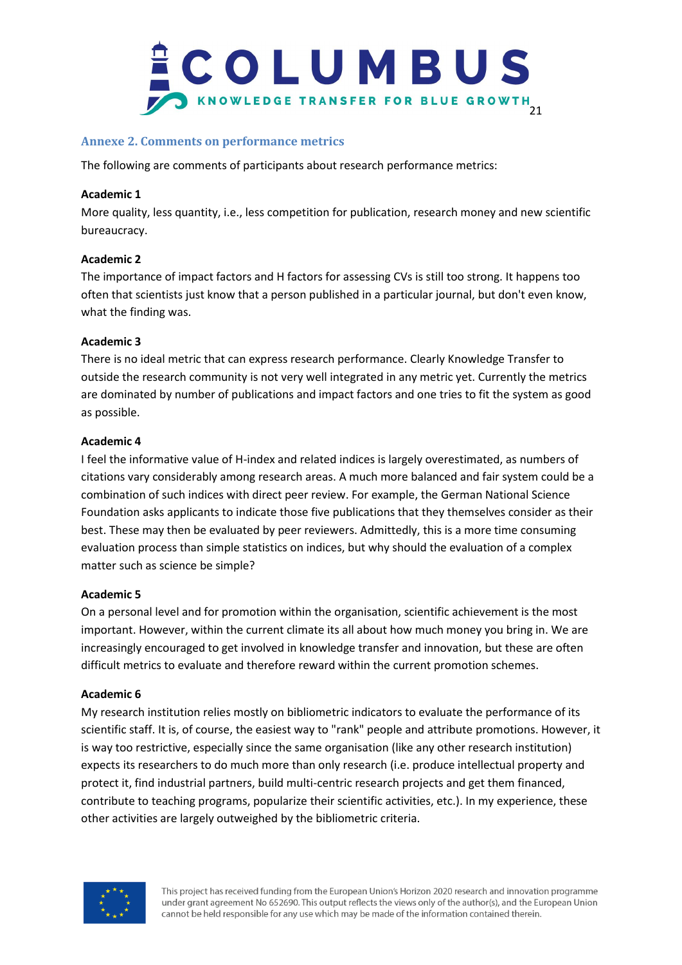

## **Annexe 2. Comments on performance metrics**

The following are comments of participants about research performance metrics:

#### **Academic 1**

More quality, less quantity, i.e., less competition for publication, research money and new scientific bureaucracy.

## **Academic 2**

The importance of impact factors and H factors for assessing CVs is still too strong. It happens too often that scientists just know that a person published in a particular journal, but don't even know, what the finding was.

## **Academic 3**

There is no ideal metric that can express research performance. Clearly Knowledge Transfer to outside the research community is not very well integrated in any metric yet. Currently the metrics are dominated by number of publications and impact factors and one tries to fit the system as good as possible.

#### **Academic 4**

I feel the informative value of H-index and related indices is largely overestimated, as numbers of citations vary considerably among research areas. A much more balanced and fair system could be a combination of such indices with direct peer review. For example, the German National Science Foundation asks applicants to indicate those five publications that they themselves consider as their best. These may then be evaluated by peer reviewers. Admittedly, this is a more time consuming evaluation process than simple statistics on indices, but why should the evaluation of a complex matter such as science be simple?

## **Academic 5**

On a personal level and for promotion within the organisation, scientific achievement is the most important. However, within the current climate its all about how much money you bring in. We are increasingly encouraged to get involved in knowledge transfer and innovation, but these are often difficult metrics to evaluate and therefore reward within the current promotion schemes.

## **Academic 6**

My research institution relies mostly on bibliometric indicators to evaluate the performance of its scientific staff. It is, of course, the easiest way to "rank" people and attribute promotions. However, it is way too restrictive, especially since the same organisation (like any other research institution) expects its researchers to do much more than only research (i.e. produce intellectual property and protect it, find industrial partners, build multi-centric research projects and get them financed, contribute to teaching programs, popularize their scientific activities, etc.). In my experience, these other activities are largely outweighed by the bibliometric criteria.

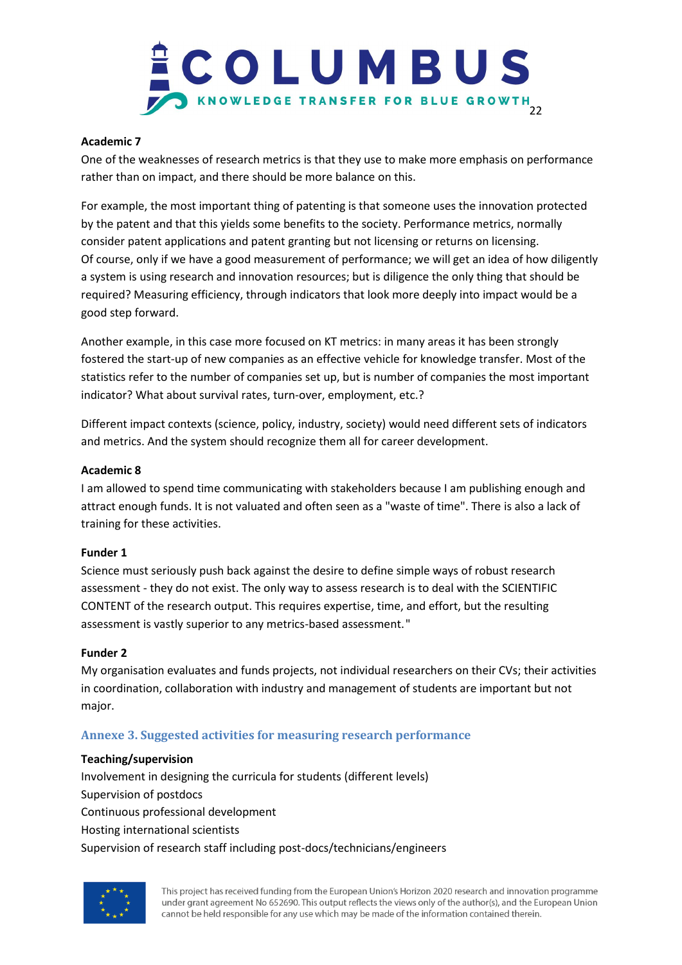## COLUMBUS KNOWLEDGE TRANSFER FOR BLUE GROWTH

#### **Academic 7**

One of the weaknesses of research metrics is that they use to make more emphasis on performance rather than on impact, and there should be more balance on this.

For example, the most important thing of patenting is that someone uses the innovation protected by the patent and that this yields some benefits to the society. Performance metrics, normally consider patent applications and patent granting but not licensing or returns on licensing. Of course, only if we have a good measurement of performance; we will get an idea of how diligently a system is using research and innovation resources; but is diligence the only thing that should be required? Measuring efficiency, through indicators that look more deeply into impact would be a good step forward.

Another example, in this case more focused on KT metrics: in many areas it has been strongly fostered the start-up of new companies as an effective vehicle for knowledge transfer. Most of the statistics refer to the number of companies set up, but is number of companies the most important indicator? What about survival rates, turn-over, employment, etc.?

Different impact contexts (science, policy, industry, society) would need different sets of indicators and metrics. And the system should recognize them all for career development.

#### **Academic 8**

I am allowed to spend time communicating with stakeholders because I am publishing enough and attract enough funds. It is not valuated and often seen as a "waste of time". There is also a lack of training for these activities.

#### **Funder 1**

Science must seriously push back against the desire to define simple ways of robust research assessment - they do not exist. The only way to assess research is to deal with the SCIENTIFIC CONTENT of the research output. This requires expertise, time, and effort, but the resulting assessment is vastly superior to any metrics-based assessment."

#### **Funder 2**

My organisation evaluates and funds projects, not individual researchers on their CVs; their activities in coordination, collaboration with industry and management of students are important but not major.

## **Annexe 3. Suggested activities for measuring research performance**

#### **Teaching/supervision**

Involvement in designing the curricula for students (different levels) Supervision of postdocs Continuous professional development Hosting international scientists Supervision of research staff including post-docs/technicians/engineers